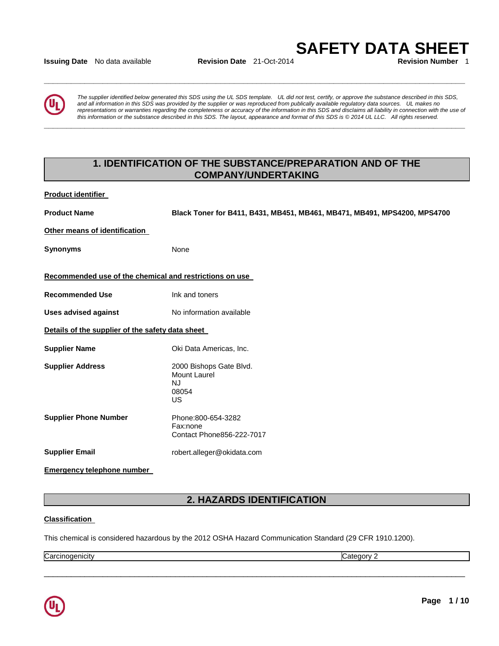**Issuing Date** No data available **Revision Date** 21-Oct-2014 **Revision Number** 1

**\_\_\_\_\_\_\_\_\_\_\_\_\_\_\_\_\_\_\_\_\_\_\_\_\_\_\_\_\_\_\_\_\_\_\_\_\_\_\_\_\_\_\_\_\_\_\_\_\_\_\_\_\_\_\_\_\_\_\_\_\_\_\_\_\_\_\_\_\_\_\_\_\_\_\_\_\_\_\_\_\_\_\_\_\_\_\_\_\_\_\_\_\_** 

**\_\_\_\_\_\_\_\_\_\_\_\_\_\_\_\_\_\_\_\_\_\_\_\_\_\_\_\_\_\_\_\_\_\_\_\_\_\_\_\_\_\_\_\_\_\_\_\_\_\_\_\_\_\_\_\_\_\_\_\_\_\_\_\_\_\_\_\_\_\_\_\_\_\_\_\_\_\_\_\_\_\_\_\_\_\_\_\_\_\_\_\_\_** 

**SAFETY DATA SHEET** 

*The supplier identified below generated this SDS using the UL SDS template. UL did not test, certify, or approve the substance described in this SDS, and all information in this SDS was provided by the supplier or was reproduced from publically available regulatory data sources. UL makes no*  representations or warranties regarding the completeness or accuracy of the information in this SDS and disclaims all liability in connection with the use of *this information or the substance described in this SDS. The layout, appearance and format of this SDS is © 2014 UL LLC. All rights reserved.* 

# **1. IDENTIFICATION OF THE SUBSTANCE/PREPARATION AND OF THE COMPANY/UNDERTAKING**

**Product identifier** 

**Product Name Black Toner for B411, B431, MB451, MB461, MB471, MB491, MPS4200, MPS4700** 

**Other means of identification** 

**Synonyms** None

### **Recommended use of the chemical and restrictions on use**

**Recommended Use The Comment Construction Construction Property Recommended Use** 

**Uses advised against No information available** 

**Details of the supplier of the safety data sheet** 

**Supplier Name Case Controller Supplier Name Oki Data Americas, Inc.** 

**Supplier Address** 2000 Bishops Gate Blvd.

Mount Laurel NJ

> 08054 US

**Supplier Phone Number** Phone:800-654-3282 Fax:none Contact Phone856-222-7017

**Supplier Email** robert.alleger@okidata.com

**Emergency telephone number** 

# **2. HAZARDS IDENTIFICATION**

\_\_\_\_\_\_\_\_\_\_\_\_\_\_\_\_\_\_\_\_\_\_\_\_\_\_\_\_\_\_\_\_\_\_\_\_\_\_\_\_\_\_\_\_\_\_\_\_\_\_\_\_\_\_\_\_\_\_\_\_\_\_\_\_\_\_\_\_\_\_\_\_\_\_\_\_\_\_\_\_\_\_\_\_\_\_\_\_\_\_\_\_\_

### **Classification**

This chemical is considered hazardous by the 2012 OSHA Hazard Communication Standard (29 CFR 1910.1200).

Carcinogenicity **Category 2** 

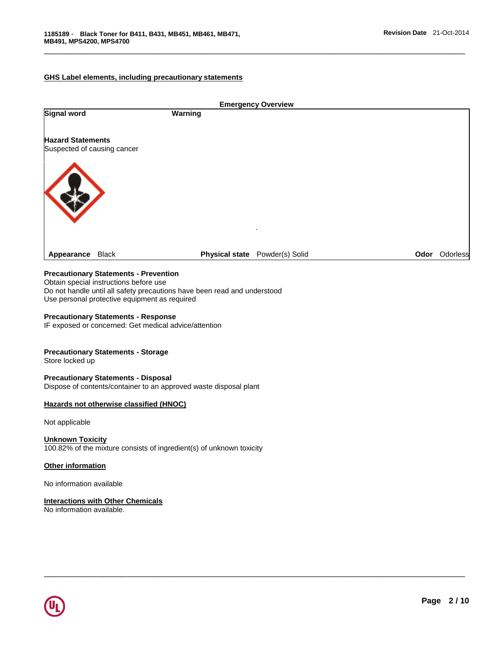### **GHS Label elements, including precautionary statements**

| Warning                     |              |                                |          |
|-----------------------------|--------------|--------------------------------|----------|
|                             |              |                                |          |
|                             |              |                                |          |
| Suspected of causing cancer |              |                                |          |
|                             |              |                                |          |
|                             |              |                                |          |
|                             |              |                                |          |
|                             |              |                                |          |
|                             | $\mathbf{r}$ |                                |          |
|                             |              |                                | Odorless |
|                             |              | Physical state Powder(s) Solid | Odor     |

\_\_\_\_\_\_\_\_\_\_\_\_\_\_\_\_\_\_\_\_\_\_\_\_\_\_\_\_\_\_\_\_\_\_\_\_\_\_\_\_\_\_\_\_\_\_\_\_\_\_\_\_\_\_\_\_\_\_\_\_\_\_\_\_\_\_\_\_\_\_\_\_\_\_\_\_\_\_\_\_\_\_\_\_\_\_\_\_\_\_\_\_\_

\_\_\_\_\_\_\_\_\_\_\_\_\_\_\_\_\_\_\_\_\_\_\_\_\_\_\_\_\_\_\_\_\_\_\_\_\_\_\_\_\_\_\_\_\_\_\_\_\_\_\_\_\_\_\_\_\_\_\_\_\_\_\_\_\_\_\_\_\_\_\_\_\_\_\_\_\_\_\_\_\_\_\_\_\_\_\_\_\_\_\_\_\_

# **Precautionary Statements - Prevention**

Obtain special instructions before use Do not handle until all safety precautions have been read and understood Use personal protective equipment as required

#### **Precautionary Statements - Response**

IF exposed or concerned: Get medical advice/attention

### **Precautionary Statements - Storage**

Store locked up

### **Precautionary Statements - Disposal**

Dispose of contents/container to an approved waste disposal plant

### **Hazards not otherwise classified (HNOC)**

Not applicable

### **Unknown Toxicity**

100.82% of the mixture consists of ingredient(s) of unknown toxicity

### **Other information**

No information available

#### **Interactions with Other Chemicals**

No information available.

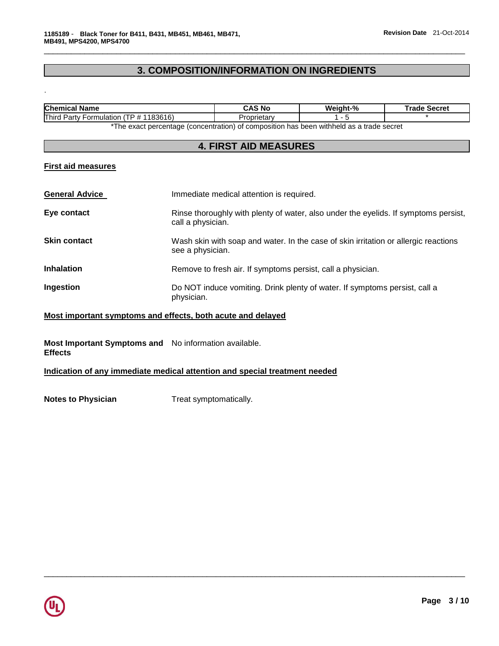# **3. COMPOSITION/INFORMATION ON INGREDIENTS**

\_\_\_\_\_\_\_\_\_\_\_\_\_\_\_\_\_\_\_\_\_\_\_\_\_\_\_\_\_\_\_\_\_\_\_\_\_\_\_\_\_\_\_\_\_\_\_\_\_\_\_\_\_\_\_\_\_\_\_\_\_\_\_\_\_\_\_\_\_\_\_\_\_\_\_\_\_\_\_\_\_\_\_\_\_\_\_\_\_\_\_\_\_

| Chemical<br><b>Name</b>                                     | CAS No | Weiaht-% | Secret<br>⊺rade |
|-------------------------------------------------------------|--------|----------|-----------------|
| Third<br>1183616)<br>. P # 1<br><b>Formulation</b><br>Party | петаг  |          |                 |
|                                                             |        |          |                 |

The exact percentage (concentration) of composition has been withheld as a trade secret

# **4. FIRST AID MEASURES**

# **First aid measures**

.

| <b>General Advice</b> | Immediate medical attention is required.                                                                 |  |  |
|-----------------------|----------------------------------------------------------------------------------------------------------|--|--|
| Eye contact           | Rinse thoroughly with plenty of water, also under the eyelids. If symptoms persist,<br>call a physician. |  |  |
| <b>Skin contact</b>   | Wash skin with soap and water. In the case of skin irritation or allergic reactions<br>see a physician.  |  |  |
| <b>Inhalation</b>     | Remove to fresh air. If symptoms persist, call a physician.                                              |  |  |
| Ingestion             | Do NOT induce vomiting. Drink plenty of water. If symptoms persist, call a<br>physician.                 |  |  |

\_\_\_\_\_\_\_\_\_\_\_\_\_\_\_\_\_\_\_\_\_\_\_\_\_\_\_\_\_\_\_\_\_\_\_\_\_\_\_\_\_\_\_\_\_\_\_\_\_\_\_\_\_\_\_\_\_\_\_\_\_\_\_\_\_\_\_\_\_\_\_\_\_\_\_\_\_\_\_\_\_\_\_\_\_\_\_\_\_\_\_\_\_

# **Most important symptoms and effects, both acute and delayed**

**Most Important Symptoms and**  No information available. **Effects** 

### **Indication of any immediate medical attention and special treatment needed**

**Notes to Physician Treat symptomatically.** 

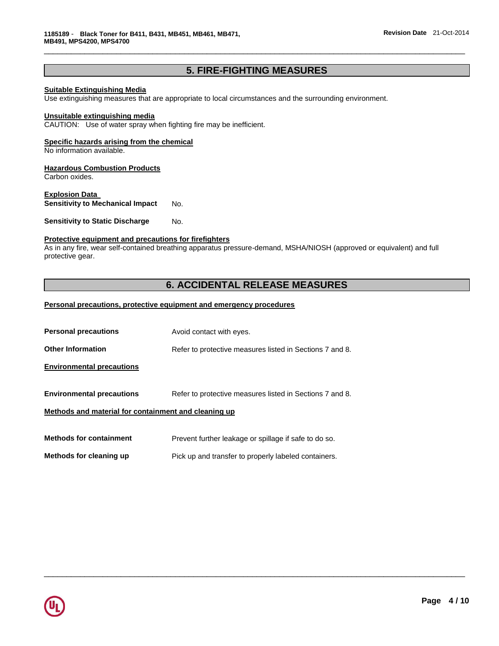# **5. FIRE-FIGHTING MEASURES**

\_\_\_\_\_\_\_\_\_\_\_\_\_\_\_\_\_\_\_\_\_\_\_\_\_\_\_\_\_\_\_\_\_\_\_\_\_\_\_\_\_\_\_\_\_\_\_\_\_\_\_\_\_\_\_\_\_\_\_\_\_\_\_\_\_\_\_\_\_\_\_\_\_\_\_\_\_\_\_\_\_\_\_\_\_\_\_\_\_\_\_\_\_

### **Suitable Extinguishing Media**

Use extinguishing measures that are appropriate to local circumstances and the surrounding environment.

## **Unsuitable extinguishing media**

CAUTION: Use of water spray when fighting fire may be inefficient.

## **Specific hazards arising from the chemical**

No information available.

#### **Hazardous Combustion Products**

Carbon oxides.

# **Explosion Data**

**Sensitivity to Mechanical Impact** No.

**Sensitivity to Static Discharge Mo.** 

### **Protective equipment and precautions for firefighters**

As in any fire, wear self-contained breathing apparatus pressure-demand, MSHA/NIOSH (approved or equivalent) and full protective gear.

# **6. ACCIDENTAL RELEASE MEASURES**

\_\_\_\_\_\_\_\_\_\_\_\_\_\_\_\_\_\_\_\_\_\_\_\_\_\_\_\_\_\_\_\_\_\_\_\_\_\_\_\_\_\_\_\_\_\_\_\_\_\_\_\_\_\_\_\_\_\_\_\_\_\_\_\_\_\_\_\_\_\_\_\_\_\_\_\_\_\_\_\_\_\_\_\_\_\_\_\_\_\_\_\_\_

## **Personal precautions, protective equipment and emergency procedures**

| <b>Personal precautions</b>                          | Avoid contact with eyes.                                 |  |  |  |
|------------------------------------------------------|----------------------------------------------------------|--|--|--|
| <b>Other Information</b>                             | Refer to protective measures listed in Sections 7 and 8. |  |  |  |
| <b>Environmental precautions</b>                     |                                                          |  |  |  |
| <b>Environmental precautions</b>                     | Refer to protective measures listed in Sections 7 and 8. |  |  |  |
| Methods and material for containment and cleaning up |                                                          |  |  |  |
|                                                      |                                                          |  |  |  |
| <b>Methods for containment</b>                       | Prevent further leakage or spillage if safe to do so.    |  |  |  |
| Methods for cleaning up                              | Pick up and transfer to properly labeled containers.     |  |  |  |

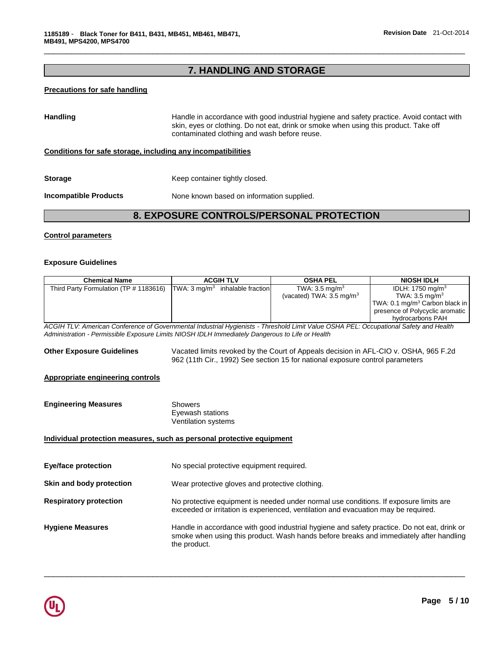# **7. HANDLING AND STORAGE**

\_\_\_\_\_\_\_\_\_\_\_\_\_\_\_\_\_\_\_\_\_\_\_\_\_\_\_\_\_\_\_\_\_\_\_\_\_\_\_\_\_\_\_\_\_\_\_\_\_\_\_\_\_\_\_\_\_\_\_\_\_\_\_\_\_\_\_\_\_\_\_\_\_\_\_\_\_\_\_\_\_\_\_\_\_\_\_\_\_\_\_\_\_

# **Precautions for safe handling**

| <b>Handling</b>              | Handle in accordance with good industrial hygiene and safety practice. Avoid contact with<br>skin, eyes or clothing. Do not eat, drink or smoke when using this product. Take off<br>contaminated clothing and wash before reuse. |
|------------------------------|-----------------------------------------------------------------------------------------------------------------------------------------------------------------------------------------------------------------------------------|
|                              | Conditions for safe storage, including any incompatibilities                                                                                                                                                                      |
| <b>Storage</b>               | Keep container tightly closed.                                                                                                                                                                                                    |
| <b>Incompatible Products</b> | None known based on information supplied.                                                                                                                                                                                         |

# **8. EXPOSURE CONTROLS/PERSONAL PROTECTION**

## **Control parameters**

#### **Exposure Guidelines**

| <b>Chemical Name</b>                                                                                                                                                                                                                     | <b>ACGIH TLV</b>                                                                                                                                                                                      | <b>OSHA PEL</b>                                                  | <b>NIOSH IDLH</b>                                                                                                                                              |
|------------------------------------------------------------------------------------------------------------------------------------------------------------------------------------------------------------------------------------------|-------------------------------------------------------------------------------------------------------------------------------------------------------------------------------------------------------|------------------------------------------------------------------|----------------------------------------------------------------------------------------------------------------------------------------------------------------|
| Third Party Formulation (TP # 1183616)                                                                                                                                                                                                   | TWA: $3 \text{ mg/m}^3$ inhalable fraction                                                                                                                                                            | TWA: $3.5 \text{ mg/m}^3$<br>(vacated) TWA: $3.5 \text{ mg/m}^3$ | IDLH: 1750 mg/m <sup>3</sup><br>TWA: $3.5 \text{ mg/m}^3$<br>TWA: 0.1 mg/m <sup>3</sup> Carbon black in<br>presence of Polycyclic aromatic<br>hydrocarbons PAH |
| ACGIH TLV: American Conference of Governmental Industrial Hygienists - Threshold Limit Value OSHA PEL: Occupational Safety and Health<br>Administration - Permissible Exposure Limits NIOSH IDLH Immediately Dangerous to Life or Health |                                                                                                                                                                                                       |                                                                  |                                                                                                                                                                |
| <b>Other Exposure Guidelines</b>                                                                                                                                                                                                         | Vacated limits revoked by the Court of Appeals decision in AFL-CIO v. OSHA, 965 F.2d<br>962 (11th Cir., 1992) See section 15 for national exposure control parameters                                 |                                                                  |                                                                                                                                                                |
| <b>Appropriate engineering controls</b>                                                                                                                                                                                                  |                                                                                                                                                                                                       |                                                                  |                                                                                                                                                                |
| <b>Engineering Measures</b>                                                                                                                                                                                                              | <b>Showers</b><br>Eyewash stations<br>Ventilation systems                                                                                                                                             |                                                                  |                                                                                                                                                                |
| Individual protection measures, such as personal protective equipment                                                                                                                                                                    |                                                                                                                                                                                                       |                                                                  |                                                                                                                                                                |
| <b>Eye/face protection</b>                                                                                                                                                                                                               | No special protective equipment required.                                                                                                                                                             |                                                                  |                                                                                                                                                                |
| Skin and body protection                                                                                                                                                                                                                 | Wear protective gloves and protective clothing.                                                                                                                                                       |                                                                  |                                                                                                                                                                |
| <b>Respiratory protection</b>                                                                                                                                                                                                            | No protective equipment is needed under normal use conditions. If exposure limits are<br>exceeded or irritation is experienced, ventilation and evacuation may be required.                           |                                                                  |                                                                                                                                                                |
| <b>Hygiene Measures</b>                                                                                                                                                                                                                  | Handle in accordance with good industrial hygiene and safety practice. Do not eat, drink or<br>smoke when using this product. Wash hands before breaks and immediately after handling<br>the product. |                                                                  |                                                                                                                                                                |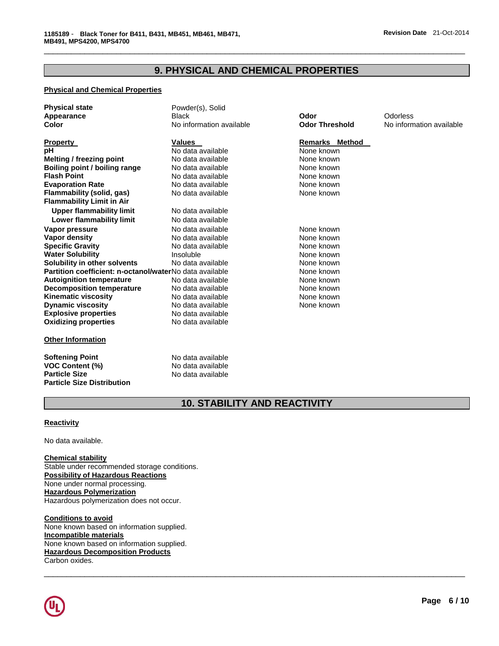# **9. PHYSICAL AND CHEMICAL PROPERTIES**

\_\_\_\_\_\_\_\_\_\_\_\_\_\_\_\_\_\_\_\_\_\_\_\_\_\_\_\_\_\_\_\_\_\_\_\_\_\_\_\_\_\_\_\_\_\_\_\_\_\_\_\_\_\_\_\_\_\_\_\_\_\_\_\_\_\_\_\_\_\_\_\_\_\_\_\_\_\_\_\_\_\_\_\_\_\_\_\_\_\_\_\_\_

### **Physical and Chemical Properties**

| <b>Physical state</b><br>Appearance                     | Powder(s), Solid<br><b>Black</b> | Odor                  | <b>Odorless</b> |
|---------------------------------------------------------|----------------------------------|-----------------------|-----------------|
| Color                                                   | No information available         | <b>Odor Threshold</b> | No inform       |
| <b>Property</b>                                         | Values                           | <b>Remarks Method</b> |                 |
| рH                                                      | No data available                | None known            |                 |
| <b>Melting / freezing point</b>                         | No data available                | None known            |                 |
| Boiling point / boiling range                           | No data available                | None known            |                 |
| <b>Flash Point</b>                                      | No data available                | None known            |                 |
| <b>Evaporation Rate</b>                                 | No data available                | None known            |                 |
| Flammability (solid, gas)                               | No data available                | None known            |                 |
| <b>Flammability Limit in Air</b>                        |                                  |                       |                 |
| <b>Upper flammability limit</b>                         | No data available                |                       |                 |
| Lower flammability limit                                | No data available                |                       |                 |
| Vapor pressure                                          | No data available                | None known            |                 |
| Vapor density                                           | No data available                | None known            |                 |
| <b>Specific Gravity</b>                                 | No data available                | None known            |                 |
| <b>Water Solubility</b>                                 | Insoluble                        | None known            |                 |
| Solubility in other solvents                            | No data available                | None known            |                 |
| Partition coefficient: n-octanol/waterNo data available |                                  | None known            |                 |
| <b>Autoignition temperature</b>                         | No data available                | None known            |                 |
| <b>Decomposition temperature</b>                        | No data available                | None known            |                 |
| Kinematic viscosity                                     | No data available                | None known            |                 |
| <b>Dynamic viscosity</b>                                | No data available                | None known            |                 |
| <b>Explosive properties</b>                             | No data available                |                       |                 |
| <b>Oxidizing properties</b>                             | No data available                |                       |                 |
| <b>Other Information</b>                                |                                  |                       |                 |
|                                                         |                                  |                       |                 |

**Softening Point No data available VOC Content (%)** No data available **Particle Size Distribution** 

**Particle Size** No data available

**Color Information available No information available** 

## <u>**rs** Method</u>

# **10. STABILITY AND REACTIVITY**

\_\_\_\_\_\_\_\_\_\_\_\_\_\_\_\_\_\_\_\_\_\_\_\_\_\_\_\_\_\_\_\_\_\_\_\_\_\_\_\_\_\_\_\_\_\_\_\_\_\_\_\_\_\_\_\_\_\_\_\_\_\_\_\_\_\_\_\_\_\_\_\_\_\_\_\_\_\_\_\_\_\_\_\_\_\_\_\_\_\_\_\_\_

### **Reactivity**

No data available.

### **Chemical stability**

Stable under recommended storage conditions. **Possibility of Hazardous Reactions** None under normal processing. **Hazardous Polymerization** Hazardous polymerization does not occur.

**Conditions to avoid** None known based on information supplied. **Incompatible materials** None known based on information supplied. **Hazardous Decomposition Products** Carbon oxides.

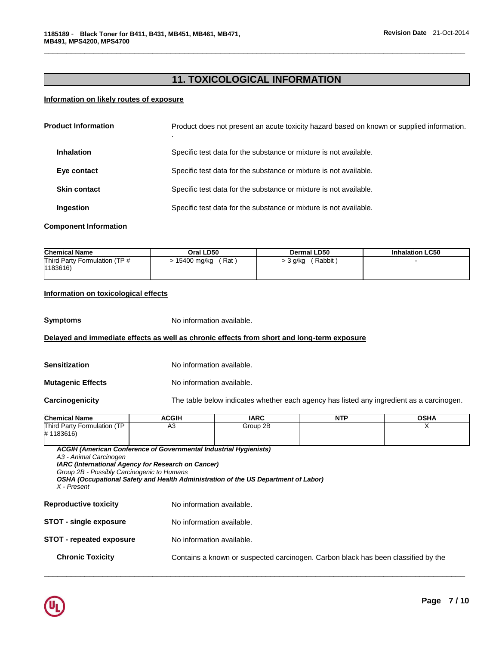# **11. TOXICOLOGICAL INFORMATION**

\_\_\_\_\_\_\_\_\_\_\_\_\_\_\_\_\_\_\_\_\_\_\_\_\_\_\_\_\_\_\_\_\_\_\_\_\_\_\_\_\_\_\_\_\_\_\_\_\_\_\_\_\_\_\_\_\_\_\_\_\_\_\_\_\_\_\_\_\_\_\_\_\_\_\_\_\_\_\_\_\_\_\_\_\_\_\_\_\_\_\_\_\_

## **Information on likely routes of exposure**

| <b>Product Information</b>   | Product does not present an acute toxicity hazard based on known or supplied information. |
|------------------------------|-------------------------------------------------------------------------------------------|
| <b>Inhalation</b>            | Specific test data for the substance or mixture is not available.                         |
| Eye contact                  | Specific test data for the substance or mixture is not available.                         |
| <b>Skin contact</b>          | Specific test data for the substance or mixture is not available.                         |
| Ingestion                    | Specific test data for the substance or mixture is not available.                         |
| <b>Component Information</b> |                                                                                           |

| <b>Chemical Name</b>          | Oral LD50     | Dermal LD50 | <b>Inhalation LC50</b> |
|-------------------------------|---------------|-------------|------------------------|
| Third Party Formulation (TP # | (Rat)         | , Rabbit "  |                        |
| 1183616)                      | > 15400 mg/kg | > 3 g/kg    |                        |

## **Information on toxicological effects**

**Symptoms** No information available.

### **Delayed and immediate effects as well as chronic effects from short and long-term exposure**

| Sensitization            | No information available.                                                                |
|--------------------------|------------------------------------------------------------------------------------------|
| <b>Mutagenic Effects</b> | No information available.                                                                |
| <b>Carcinogenicity</b>   | The table below indicates whether each agency has listed any ingredient as a carcinogen. |

| <b>Chemical Name</b>                                                                | <b>ACGIH</b>                                                                                                                   | <b>IARC</b>                                                                        | <b>NTP</b> | <b>OSHA</b> |  |
|-------------------------------------------------------------------------------------|--------------------------------------------------------------------------------------------------------------------------------|------------------------------------------------------------------------------------|------------|-------------|--|
| Third Party Formulation (TP<br>#1183616)                                            | A <sub>3</sub>                                                                                                                 | Group 2B                                                                           |            | X           |  |
| A3 - Animal Carcinogen<br>Group 2B - Possibly Carcinogenic to Humans<br>X - Present | <b>ACGIH (American Conference of Governmental Industrial Hygienists)</b><br>IARC (International Agency for Research on Cancer) | OSHA (Occupational Safety and Health Administration of the US Department of Labor) |            |             |  |
| <b>Reproductive toxicity</b>                                                        | No information available.                                                                                                      |                                                                                    |            |             |  |
| <b>STOT - single exposure</b>                                                       |                                                                                                                                | No information available.                                                          |            |             |  |
| <b>STOT - repeated exposure</b>                                                     |                                                                                                                                | No information available.                                                          |            |             |  |
| <b>Chronic Toxicity</b>                                                             |                                                                                                                                | Contains a known or suspected carcinogen. Carbon black has been classified by the  |            |             |  |

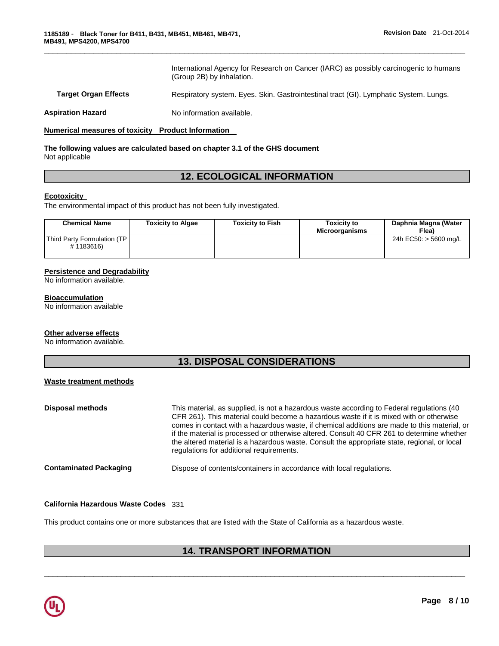International Agency for Research on Cancer (IARC) as possibly carcinogenic to humans (Group 2B) by inhalation.

**Target Organ Effects** Respiratory system. Eyes. Skin. Gastrointestinal tract (GI). Lymphatic System. Lungs.

\_\_\_\_\_\_\_\_\_\_\_\_\_\_\_\_\_\_\_\_\_\_\_\_\_\_\_\_\_\_\_\_\_\_\_\_\_\_\_\_\_\_\_\_\_\_\_\_\_\_\_\_\_\_\_\_\_\_\_\_\_\_\_\_\_\_\_\_\_\_\_\_\_\_\_\_\_\_\_\_\_\_\_\_\_\_\_\_\_\_\_\_\_

**Aspiration Hazard Moleco Exception Available.** 

### **Numerical measures of toxicity Product Information**

### **The following values are calculated based on chapter 3.1 of the GHS document** Not applicable

# **12. ECOLOGICAL INFORMATION**

### **Ecotoxicity**

The environmental impact of this product has not been fully investigated.

| <b>Chemical Name</b>                     | <b>Toxicity to Algae</b> | <b>Toxicity to Fish</b> | <b>Toxicity to</b><br><b>Microorganisms</b> | Daphnia Magna (Water<br>Flea) |
|------------------------------------------|--------------------------|-------------------------|---------------------------------------------|-------------------------------|
| Third Party Formulation (TP<br>#1183616) |                          |                         |                                             | 24h EC50: > 5600 mg/L         |

### **Persistence and Degradability**

No information available.

#### **Bioaccumulation**

No information available

#### **Other adverse effects**

No information available.

# **13. DISPOSAL CONSIDERATIONS**

### **Waste treatment methods**

| <b>Disposal methods</b>       | This material, as supplied, is not a hazardous waste according to Federal regulations (40)<br>CFR 261). This material could become a hazardous waste if it is mixed with or otherwise<br>comes in contact with a hazardous waste, if chemical additions are made to this material, or<br>if the material is processed or otherwise altered. Consult 40 CFR 261 to determine whether<br>the altered material is a hazardous waste. Consult the appropriate state, regional, or local<br>regulations for additional requirements. |
|-------------------------------|---------------------------------------------------------------------------------------------------------------------------------------------------------------------------------------------------------------------------------------------------------------------------------------------------------------------------------------------------------------------------------------------------------------------------------------------------------------------------------------------------------------------------------|
| <b>Contaminated Packaging</b> | Dispose of contents/containers in accordance with local regulations.                                                                                                                                                                                                                                                                                                                                                                                                                                                            |

### **California Hazardous Waste Codes** 331

This product contains one or more substances that are listed with the State of California as a hazardous waste.

# **14. TRANSPORT INFORMATION**

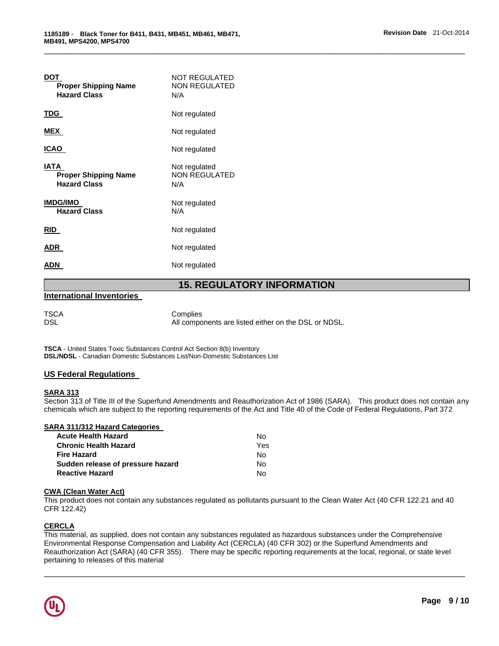| <b>Proper Shipping Name</b><br><b>Hazard Class</b>         | NOT REGULATED<br><b>NON REGULATED</b><br>N/A |
|------------------------------------------------------------|----------------------------------------------|
| TDG                                                        | Not regulated                                |
| <b>MEX</b>                                                 | Not regulated                                |
| ICAO                                                       | Not regulated                                |
| IATA<br><b>Proper Shipping Name</b><br><b>Hazard Class</b> | Not regulated<br>NON REGULATED<br>N/A        |
| <b>IMDG/IMO</b><br><b>Hazard Class</b>                     | Not regulated<br>N/A                         |
| <b>RID</b>                                                 | Not regulated                                |
| ADR.                                                       | Not regulated                                |
| ADN                                                        | Not regulated                                |

# **15. REGULATORY INFORMATION**

\_\_\_\_\_\_\_\_\_\_\_\_\_\_\_\_\_\_\_\_\_\_\_\_\_\_\_\_\_\_\_\_\_\_\_\_\_\_\_\_\_\_\_\_\_\_\_\_\_\_\_\_\_\_\_\_\_\_\_\_\_\_\_\_\_\_\_\_\_\_\_\_\_\_\_\_\_\_\_\_\_\_\_\_\_\_\_\_\_\_\_\_\_

### **International Inventories**

TSCA Complies DSL All components are listed either on the DSL or NDSL.

**TSCA** - United States Toxic Substances Control Act Section 8(b) Inventory **DSL/NDSL** - Canadian Domestic Substances List/Non-Domestic Substances List

### **US Federal Regulations**

### **SARA 313**

Section 313 of Title III of the Superfund Amendments and Reauthorization Act of 1986 (SARA). This product does not contain any chemicals which are subject to the reporting requirements of the Act and Title 40 of the Code of Federal Regulations, Part 372

## **SARA 311/312 Hazard Categories**

| <b>Acute Health Hazard</b>        | No. |
|-----------------------------------|-----|
| <b>Chronic Health Hazard</b>      | Yes |
| <b>Fire Hazard</b>                | No. |
| Sudden release of pressure hazard | N٥  |
| <b>Reactive Hazard</b>            | N٥  |

## **CWA (Clean Water Act)**

This product does not contain any substances regulated as pollutants pursuant to the Clean Water Act (40 CFR 122.21 and 40 CFR 122.42)

## **CERCLA**

This material, as supplied, does not contain any substances regulated as hazardous substances under the Comprehensive Environmental Response Compensation and Liability Act (CERCLA) (40 CFR 302) or the Superfund Amendments and Reauthorization Act (SARA) (40 CFR 355). There may be specific reporting requirements at the local, regional, or state level pertaining to releases of this material